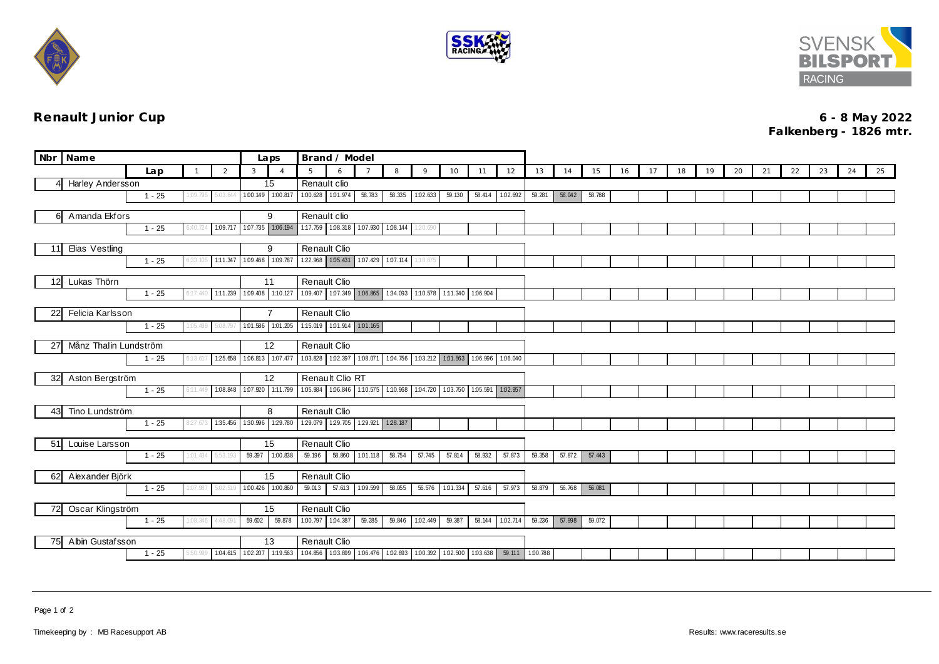





**Renault Junior Cup 6 - 8 May 2022 Falkenberg - 1826 mtr.**

| Nbr Name                                     | Brand / Model<br>Laps |          |                            |                   |                                                          |                                                                       |                                                       |                 |          |                   |                 |          |                   |          |        |        |    |    |    |    |    |    |    |    |    |    |
|----------------------------------------------|-----------------------|----------|----------------------------|-------------------|----------------------------------------------------------|-----------------------------------------------------------------------|-------------------------------------------------------|-----------------|----------|-------------------|-----------------|----------|-------------------|----------|--------|--------|----|----|----|----|----|----|----|----|----|----|
|                                              | Lap                   |          | 2                          | 3                 | $\overline{A}$                                           | 5                                                                     | 6                                                     |                 | 8        | 9                 | 10              | 11       | 12                | 13       | 14     | 15     | 16 | 17 | 18 | 19 | 20 | 21 | 22 | 23 | 24 | 25 |
| Harley Andersson<br>41                       |                       |          |                            |                   | 15                                                       | Renault clio                                                          |                                                       |                 |          |                   |                 |          |                   |          |        |        |    |    |    |    |    |    |    |    |    |    |
|                                              | $1 - 25$              | 1:09.795 |                            | 1.00.149 1.00.817 |                                                          | 1.00.628 1.01.974                                                     |                                                       | 58.783          | 58.335   | 1.02.633          | 59.130          |          | 58.414 1.02.692   | 59.281   | 58.042 | 58.788 |    |    |    |    |    |    |    |    |    |    |
| Amanda Ekfors<br>6                           |                       |          |                            |                   | 9                                                        |                                                                       | Renault clio                                          |                 |          |                   |                 |          |                   |          |        |        |    |    |    |    |    |    |    |    |    |    |
|                                              | $1 - 25$              | 6:40.724 |                            |                   | 109.717 107.735 106.194 1:17.759 108.318 107.930 108.144 |                                                                       |                                                       |                 |          | 1:20.690          |                 |          |                   |          |        |        |    |    |    |    |    |    |    |    |    |    |
|                                              |                       |          |                            |                   | 9                                                        | Renault Clio                                                          |                                                       |                 |          |                   |                 |          |                   |          |        |        |    |    |    |    |    |    |    |    |    |    |
| Elias Vestling<br>11<br>$1 - 25$<br>6:33.10! |                       |          | 1:11.347 1:09.468 1:09.787 |                   |                                                          | 122.968 1.05.431 1.07.429 1.07.114                                    |                                                       |                 | 1:18.675 |                   |                 |          |                   |          |        |        |    |    |    |    |    |    |    |    |    |    |
|                                              |                       |          |                            |                   |                                                          |                                                                       |                                                       |                 |          |                   |                 |          |                   |          |        |        |    |    |    |    |    |    |    |    |    |    |
| Lukas Thörn<br>12 <sup>1</sup>               |                       |          |                            |                   | 11                                                       | Renault Clio                                                          |                                                       |                 |          |                   |                 |          |                   |          |        |        |    |    |    |    |    |    |    |    |    |    |
|                                              | $1 - 25$              | 6:17.44  | 1:11.239                   | 1.09.408 1:10.127 |                                                          |                                                                       | 1.09.407 1.07.349 1.06.865 1.34.093                   |                 |          | 1:10.578 1:11.340 |                 | 1:06.904 |                   |          |        |        |    |    |    |    |    |    |    |    |    |    |
| Felicia Karlsson<br>22I                      |                       |          |                            |                   | $\overline{7}$                                           |                                                                       | Renault Clio                                          |                 |          |                   |                 |          |                   |          |        |        |    |    |    |    |    |    |    |    |    |    |
|                                              | $1 - 25$              | 1:05.499 | 08.79                      | 1:01.586          | 1.01.205                                                 |                                                                       | 1:15.019 1:01.914 1:01.165                            |                 |          |                   |                 |          |                   |          |        |        |    |    |    |    |    |    |    |    |    |    |
|                                              |                       |          |                            |                   |                                                          |                                                                       |                                                       |                 |          |                   |                 |          |                   |          |        |        |    |    |    |    |    |    |    |    |    |    |
| Månz Thalin Lundström<br>27                  |                       |          |                            | 12                |                                                          | Renault Clio<br>1.03.828 1.02.397 1.08.071 1.04.756 1.03.212 1.01.563 |                                                       |                 |          |                   |                 |          |                   |          |        |        |    |    |    |    |    |    |    |    |    |    |
|                                              | $1 - 25$              | 6:13.61  | 125.658                    | 1.06.813 1.07.477 |                                                          |                                                                       |                                                       |                 |          |                   |                 |          | 1.06.996 1.06.040 |          |        |        |    |    |    |    |    |    |    |    |    |    |
| 32 Aston Bergström                           |                       |          |                            |                   | 12                                                       |                                                                       | Renault Clio RT                                       |                 |          |                   |                 |          |                   |          |        |        |    |    |    |    |    |    |    |    |    |    |
|                                              | $1 - 25$              | 6:11.449 | 1:08.848                   | 1.07.920          | 1:11.799                                                 |                                                                       | 1.05.984 1.06.846 1.10.575 1.10.968 1.04.720 1.03.750 |                 |          |                   |                 |          | 1.05.591 1.02.957 |          |        |        |    |    |    |    |    |    |    |    |    |    |
| 43 Tino Lundström                            |                       |          |                            |                   | 8                                                        | Renault Clio                                                          |                                                       |                 |          |                   |                 |          |                   |          |        |        |    |    |    |    |    |    |    |    |    |    |
|                                              | $1 - 25$              | 8:27.67  | 1:35.456                   |                   | 1:30.996 1:29.780                                        |                                                                       | 129.079 129.705 129.921 128.187                       |                 |          |                   |                 |          |                   |          |        |        |    |    |    |    |    |    |    |    |    |    |
|                                              |                       |          |                            |                   |                                                          |                                                                       |                                                       |                 |          |                   |                 |          |                   |          |        |        |    |    |    |    |    |    |    |    |    |    |
| 51 Louise Larsson                            |                       |          |                            |                   | 15                                                       |                                                                       | Renault Clio                                          |                 |          |                   |                 |          |                   |          |        |        |    |    |    |    |    |    |    |    |    |    |
|                                              | $1 - 25$              | 1:01.434 |                            |                   | 59.397 1.00.838                                          | 59.196                                                                |                                                       | 58.860 1.01.118 | 58.754   | 57.745            | 57.814          | 58.932   | 57.873            | 59.358   | 57.872 | 57.443 |    |    |    |    |    |    |    |    |    |    |
| 62 Alexander Björk                           |                       |          |                            |                   | 15                                                       | Renault Clio                                                          |                                                       |                 |          |                   |                 |          |                   |          |        |        |    |    |    |    |    |    |    |    |    |    |
|                                              | $1 - 25$              | 1:07.987 | 5.02.51                    |                   | 1.00.426 1.00.860                                        | 59.013                                                                | 57.613 1.09.599                                       |                 | 58.055   |                   | 56.576 1.01.334 | 57.616   | 57.973            | 58.879   | 56.768 | 56.081 |    |    |    |    |    |    |    |    |    |    |
| Oscar Klingström<br>72                       |                       |          |                            |                   | 15                                                       | Renault Clio                                                          |                                                       |                 |          |                   |                 |          |                   |          |        |        |    |    |    |    |    |    |    |    |    |    |
|                                              | $1 - 25$              | 1:08.346 | 4:48.091                   | 59.602            | 59.878                                                   |                                                                       | 1.00.797 1.04.387 59.285                              |                 |          | 59.846 1.02.449   | 59.387          | 58.144   | 1:02.714          | 59.236   | 57.998 | 59.072 |    |    |    |    |    |    |    |    |    |    |
|                                              |                       |          |                            |                   |                                                          |                                                                       |                                                       |                 |          |                   |                 |          |                   |          |        |        |    |    |    |    |    |    |    |    |    |    |
| Abin Gustafsson<br>75                        |                       |          |                            |                   | 13                                                       |                                                                       | Renault Clio                                          |                 |          |                   |                 |          |                   |          |        |        |    |    |    |    |    |    |    |    |    |    |
|                                              | $1 - 25$              | 5:50.99  | 1:04.615                   | 1.02.207 1:19.563 |                                                          |                                                                       | 1.04.856 1.03.899 1.06.476 1.02.893                   |                 |          | 1.00.392          | 1.02.500        | 1:03.638 | 59.111            | 1:00.788 |        |        |    |    |    |    |    |    |    |    |    |    |